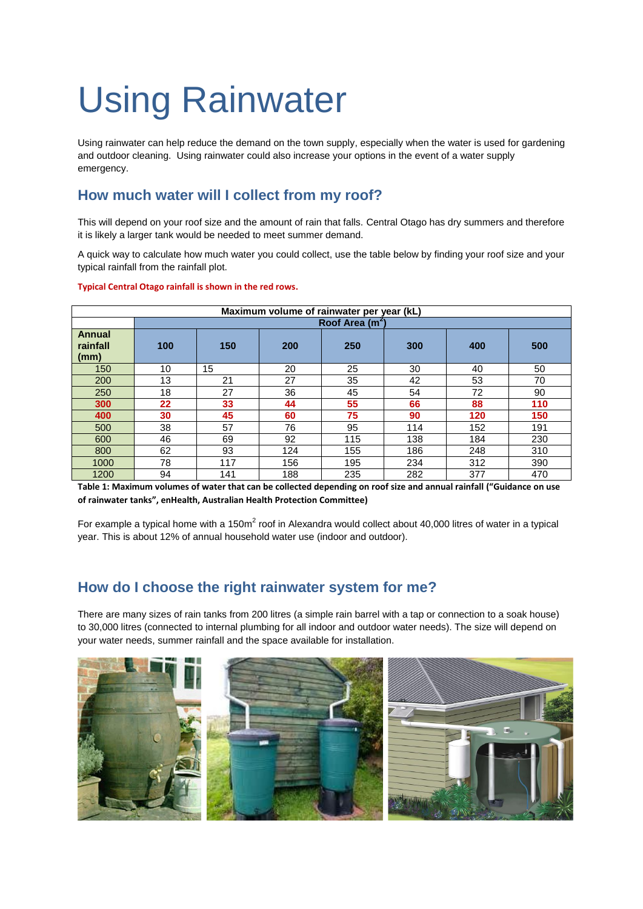# Using Rainwater

Using rainwater can help reduce the demand on the town supply, especially when the water is used for gardening and outdoor cleaning. Using rainwater could also increase your options in the event of a water supply emergency.

## **How much water will I collect from my roof?**

This will depend on your roof size and the amount of rain that falls. Central Otago has dry summers and therefore it is likely a larger tank would be needed to meet summer demand.

A quick way to calculate how much water you could collect, use the table below by finding your roof size and your typical rainfall from the rainfall plot.

| Maximum volume of rainwater per year (kL) |                             |     |     |     |     |     |     |
|-------------------------------------------|-----------------------------|-----|-----|-----|-----|-----|-----|
|                                           | Roof Area (m <sup>2</sup> ) |     |     |     |     |     |     |
| <b>Annual</b><br>rainfall<br>(mm)         | 100                         | 150 | 200 | 250 | 300 | 400 | 500 |
| 150                                       | 10                          | 15  | 20  | 25  | 30  | 40  | 50  |
| 200                                       | 13                          | 21  | 27  | 35  | 42  | 53  | 70  |
| 250                                       | 18                          | 27  | 36  | 45  | 54  | 72  | 90  |
| 300                                       | 22                          | 33  | 44  | 55  | 66  | 88  | 110 |
| 400                                       | 30                          | 45  | 60  | 75  | 90  | 120 | 150 |
| 500                                       | 38                          | 57  | 76  | 95  | 114 | 152 | 191 |
| 600                                       | 46                          | 69  | 92  | 115 | 138 | 184 | 230 |
| 800                                       | 62                          | 93  | 124 | 155 | 186 | 248 | 310 |
| 1000                                      | 78                          | 117 | 156 | 195 | 234 | 312 | 390 |
| 1200                                      | 94                          | 141 | 188 | 235 | 282 | 377 | 470 |

### **Typical Central Otago rainfall is shown in the red rows.**

**Table 1: Maximum volumes of water that can be collected depending on roof size and annual rainfall ("Guidance on use of rainwater tanks", enHealth, Australian Health Protection Committee)**

For example a typical home with a 150m<sup>2</sup> roof in Alexandra would collect about 40,000 litres of water in a typical year. This is about 12% of annual household water use (indoor and outdoor).

## **How do I choose the right rainwater system for me?**

There are many sizes of rain tanks from 200 litres (a simple rain barrel with a tap or connection to a soak house) to 30,000 litres (connected to internal plumbing for all indoor and outdoor water needs). The size will depend on your water needs, summer rainfall and the space available for installation.

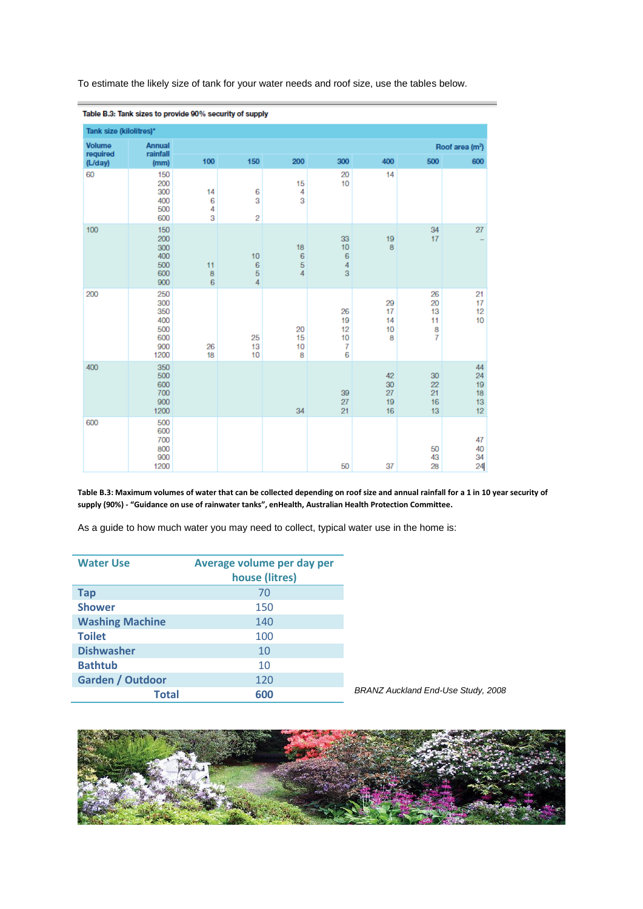| Table B.3: Tank sizes to provide 90% security of supply |                                                       |                   |                                         |                          |                                      |                            |                                             |                                  |
|---------------------------------------------------------|-------------------------------------------------------|-------------------|-----------------------------------------|--------------------------|--------------------------------------|----------------------------|---------------------------------------------|----------------------------------|
| Tank size (kilolitres)*                                 |                                                       |                   |                                         |                          |                                      |                            |                                             |                                  |
| <b>Volume</b><br>required                               | <b>Annual</b><br>rainfall                             |                   |                                         |                          |                                      |                            |                                             | Roof area (m <sup>2</sup> )      |
| (L/day)                                                 | (mm)                                                  | 100               | 150                                     | 200                      | 300                                  | 400                        | 500                                         | 600                              |
| 60                                                      | 150<br>200<br>300<br>400<br>500<br>600                | 14<br>6<br>4<br>3 | 6<br>3<br>2                             | 15<br>4<br>3             | 20<br>10                             | 14                         |                                             |                                  |
| 100                                                     | 150<br>200<br>300<br>400<br>500<br>600<br>900         | 11<br>8<br>6      | 10<br>$\sqrt{6}$<br>$\overline{5}$<br>4 | 18<br>6<br>$\frac{5}{4}$ | 33<br>10<br>6<br>4<br>$\overline{3}$ | 19<br>8                    | 34<br>17                                    | 27                               |
| 200                                                     | 250<br>300<br>350<br>400<br>500<br>600<br>900<br>1200 | 26<br>18          | 25<br>13<br>10                          | 20<br>15<br>10<br>8      | 26<br>19<br>12<br>10<br>7<br>6       | 29<br>17<br>14<br>10<br>8  | 26<br>20<br>13<br>11<br>8<br>$\overline{7}$ | 21<br>17<br>12<br>10             |
| 400                                                     | 350<br>500<br>600<br>700<br>900<br>1200               |                   |                                         | 34                       | 39<br>27<br>21                       | 42<br>30<br>27<br>19<br>16 | 30<br>22<br>21<br>16<br>13                  | 44<br>24<br>19<br>18<br>13<br>12 |
| 600                                                     | 500<br>600<br>700<br>800<br>900<br>1200               |                   |                                         |                          | 50                                   | 37                         | 50<br>43<br>28                              | 47<br>40<br>34<br>24             |

To estimate the likely size of tank for your water needs and roof size, use the tables below.

**Table B.3: Maximum volumes of water that can be collected depending on roof size and annual rainfall for a 1 in 10 year security of supply (90%) - "Guidance on use of rainwater tanks", enHealth, Australian Health Protection Committee.**

As a guide to how much water you may need to collect, typical water use in the home is:

| <b>Water Use</b>        | Average volume per day per<br>house (litres) |
|-------------------------|----------------------------------------------|
| <b>Tap</b>              | 70                                           |
| <b>Shower</b>           | 150                                          |
| <b>Washing Machine</b>  | 140                                          |
| <b>Toilet</b>           | 100                                          |
| <b>Dishwasher</b>       | 10                                           |
| <b>Bathtub</b>          | 10                                           |
| <b>Garden / Outdoor</b> | 120                                          |
| Total                   | 600                                          |

*BRANZ Auckland End-Use Study, 2008*

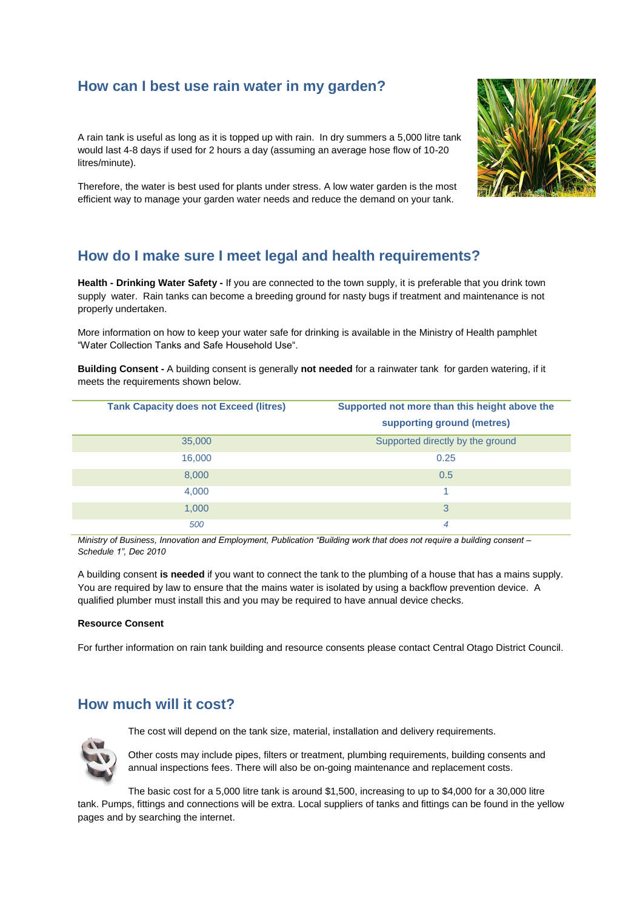## **How can I best use rain water in my garden?**

A rain tank is useful as long as it is topped up with rain. In dry summers a 5,000 litre tank would last 4-8 days if used for 2 hours a day (assuming an average hose flow of 10-20 litres/minute).

Therefore, the water is best used for plants under stress. A low water garden is the most efficient way to manage your garden water needs and reduce the demand on your tank.



# **How do I make sure I meet legal and health requirements?**

**Health - Drinking Water Safety -** If you are connected to the town supply, it is preferable that you drink town supply water. Rain tanks can become a breeding ground for nasty bugs if treatment and maintenance is not properly undertaken.

More information on how to keep your water safe for drinking is available in the Ministry of Health pamphlet "Water Collection Tanks and Safe Household Use".

**Building Consent -** A building consent is generally **not needed** for a rainwater tank for garden watering, if it meets the requirements shown below.

| <b>Tank Capacity does not Exceed (litres)</b> | Supported not more than this height above the<br>supporting ground (metres) |
|-----------------------------------------------|-----------------------------------------------------------------------------|
| 35,000                                        | Supported directly by the ground                                            |
| 16,000                                        | 0.25                                                                        |
| 8,000                                         | 0.5                                                                         |
| 4,000                                         | и                                                                           |
| 1,000                                         | 3                                                                           |
| 500                                           | 4                                                                           |

*Ministry of Business, Innovation and Employment, Publication "Building work that does not require a building consent – Schedule 1", Dec 2010*

A building consent **is needed** if you want to connect the tank to the plumbing of a house that has a mains supply. You are required by law to ensure that the mains water is isolated by using a backflow prevention device. A qualified plumber must install this and you may be required to have annual device checks.

### **Resource Consent**

For further information on rain tank building and resource consents please contact Central Otago District Council.

## **How much will it cost?**

The cost will depend on the tank size, material, installation and delivery requirements.



Other costs may include pipes, filters or treatment, plumbing requirements, building consents and annual inspections fees. There will also be on-going maintenance and replacement costs.

The basic cost for a 5,000 litre tank is around \$1,500, increasing to up to \$4,000 for a 30,000 litre tank. Pumps, fittings and connections will be extra. Local suppliers of tanks and fittings can be found in the yellow pages and by searching the internet.